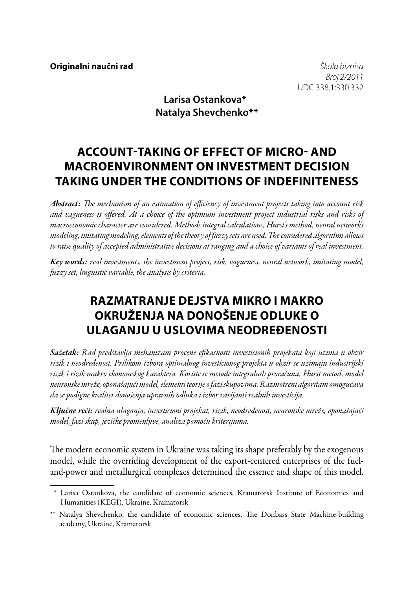*Broj 2/2011* UDC 338.1:330.332

**Larisa Ostankova\* Natalya Shevchenko\*\***

# **ACCOUNT-TAKING OF EFFECT OF MICRO- AND MACROENVIRONMENT ON INVESTMENT DECISION TAKING UNDER THE CONDITIONS OF INDEFINITENESS**

*Abstract: The mechanism of an estimation of efficiency of investment projects taking into account risk and vagueness is offered. At a choice of the optimum investment project industrial risks and risks of macroeconomic character are considered. Methods integral calculations, Hurst's method, neural network's modeling, imitating modeling, elements of the theory of fuzzy sets are used. The considered algorithm allows to raise quality of accepted administrative decisions at ranging and a choice of variants of real investment.*

*Key words: real investments, the investment project, risk, vagueness, neural network, imitating model, fuzzy set, linguistic variable, the analysis by criteria.*

# **Razmatranje dejstva mikro i makro okruženja na donošenje odluke o ulaganju u uslovima neodređenosti**

*Sažetak: Rad predstavlja mehanizam procene efikasnosti investicionih projekata koji uzima u obzir rizik i neodređenost. Prilikom izbora optimalnog investicionog projekta u obzir se uzimaju industrijski rizik i rizik makro ekonomskog karaktera. Koriste se metode integralnih proračuna, Hurst metod, model neuronske mreže, oponašajući model, elementi teorije o fazi skupovima. Razmotreni algoritam omogućava da se podigne kvalitet donošenja upravnih odluka i izbor varijanti realnih investicija.*

*Ključne reči: realna ulaganja, investicioni projekat, rizik, neodređenost, neuronske mreže, oponašajući model, fazi skup, jezičke promenljive, analiza pomoću kriterijuma.*

The modern economic system in Ukraine was taking its shape preferably by the exogenous model, while the overriding development of the export-centered enterprises of the fueland-power and metallurgical complexes determined the essence and shape of this model.

<sup>\*</sup> Larisa Ostankova, the candidate of economic sciences, Kramatorsk Institute of Economics and Humanities (KEGI), Ukraine, Kramatorsk

<sup>\*\*</sup> Natalya Shevchenko, the candidate of economic sciences, The Donbass State Machine-building academy, Ukraine, Kramatorsk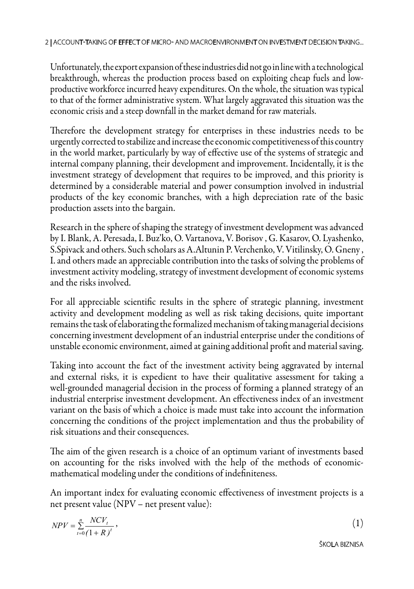Unfortunately, the export expansion of these industries did not go in line with a technological breakthrough, whereas the production process based on exploiting cheap fuels and lowproductive workforce incurred heavy expenditures. On the whole, the situation was typical to that of the former administrative system. What largely aggravated this situation was the economic crisis and a steep downfall in the market demand for raw materials.

Therefore the development strategy for enterprises in these industries needs to be urgently corrected to stabilize and increase the economic competitiveness of this country in the world market, particularly by way of effective use of the systems of strategic and internal company planning, their development and improvement. Incidentally, it is the investment strategy of development that requires to be improved, and this priority is determined by a considerable material and power consumption involved in industrial products of the key economic branches, with a high depreciation rate of the basic production assets into the bargain.

Research in the sphere of shaping the strategy of investment development was advanced by I. Blank, A. Peresada, I. Buz'ko, О. Vartanova, V. Borisov , G. Kasarov, О. Lyashenko, S.Spivack and others. Such scholars as A.Altunin P. Verchenko, V. Vitilinsky, O. Gneny , І. and others made an appreciable contribution into the tasks of solving the problems of investment activity modeling, strategy of investment development of economic systems and the risks involved.

For all appreciable scientific results in the sphere of strategic planning, investment activity and development modeling as well as risk taking decisions, quite important remains the task of elaborating the formalized mechanism of taking managerial decisions concerning investment development of an industrial enterprise under the conditions of unstable economic environment, aimed at gaining additional profit and material saving.

Taking into account the fact of the investment activity being aggravated by internal and external risks, it is expedient to have their qualitative assessment for taking a well-grounded managerial decision in the process of forming a planned strategy of an industrial enterprise investment development. An effectiveness index of an investment variant on the basis of which a choice is made must take into account the information concerning the conditions of the project implementation and thus the probability of risk situations and their consequences.

The aim of the given research is a choice of an optimum variant of investments based on accounting for the risks involved with the help of the methods of economicmathematical modeling under the conditions of indefiniteness.

An important index for evaluating economic effectiveness of investment projects is a net present value (NPV – net present value):

$$
NPV = \sum_{t=0}^{n} \frac{NCV_t}{(1+R)^t},
$$
\n(1)

ŠKOLA BIZNISA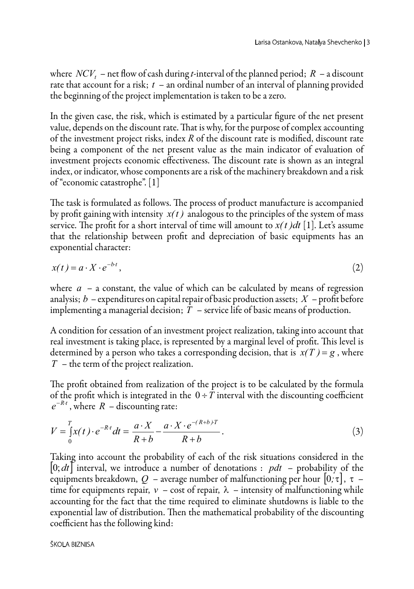where *NCV<sub>t</sub>* – net flow of cash during *t*-interval of the planned period;  $R - a$  discount rate that account for a risk; *t* – an ordinal number of an interval of planning provided the beginning of the project implementation is taken to be a zero.

In the given case, the risk, which is estimated by a particular figure of the net present value, depends on the discount rate. That is why, for the purpose of complex accounting of the investment project risks, index *R* of the discount rate is modified, discount rate being a component of the net present value as the main indicator of evaluation of investment projects economic effectiveness. The discount rate is shown as an integral index, or indicator, whose components are a risk of the machinery breakdown and a risk of "economic catastrophe". [1]

The task is formulated as follows. The process of product manufacture is accompanied by profit gaining with intensity  $x(t)$  analogous to the principles of the system of mass service. The profit for a short interval of time will amount to  $x(t)dt$  [1]. Let's assume that the relationship between profit and depreciation of basic equipments has an exponential character:

$$
x(t) = a \cdot X \cdot e^{-bt},\tag{2}
$$

where  $a - a$  constant, the value of which can be calculated by means of regression analysis; *b* – expenditures on capital repair of basic production assets; *X* – profit before implementing a managerial decision; *T* – service life of basic means of production.

A condition for cessation of an investment project realization, taking into account that real investment is taking place, is represented by a marginal level of profit. This level is determined by a person who takes a corresponding decision, that is  $x(T) = g$ , where *T* – the term of the project realization.

The profit obtained from realization of the project is to be calculated by the formula of the profit which is integrated in the  $0 \div T$  interval with the discounting coefficient  $e^{-Rt}$ , where  $R$  – discounting rate:

$$
V = \int_{0}^{T} x(t) \cdot e^{-Rt} dt = \frac{a \cdot X}{R + b} - \frac{a \cdot X \cdot e^{-(R + b)T}}{R + b}.
$$
 (3)

Taking into account the probability of each of the risk situations considered in the  $[0; dt]$  interval, we introduce a number of denotations :  $pdt$  – probability of the equipments breakdown,  $Q$  – average number of malfunctioning per hour  $[0, \tau]$ ,  $\tau$  – time for equipments repair,  $v - \text{cost of repair}$ ,  $\lambda - \text{intensity of malfunctioning while}$ accounting for the fact that the time required to eliminate shutdowns is liable to the exponential law of distribution. Then the mathematical probability of the discounting coefficient has the following kind: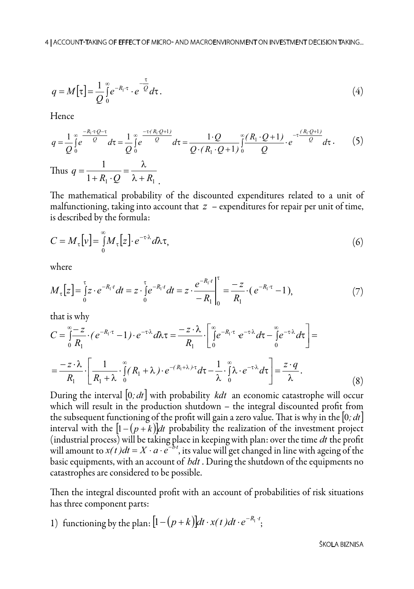$$
q = M[\tau] = \frac{1}{Q} \int_{0}^{\infty} e^{-R_1 \tau} \cdot e^{-\frac{\tau}{Q}} d\tau.
$$
 (4)

Hence

$$
q = \frac{1}{Q} \int_{0}^{\infty} \frac{-R_1 \cdot \tau Q - \tau}{Q} d\tau = \frac{1}{Q} \int_{0}^{\infty} e^{-\tau (R_1 Q + 1)} d\tau = \frac{1 \cdot Q}{Q \cdot (R_1 \cdot Q + 1)} \int_{0}^{\infty} \frac{(R_1 \cdot Q + 1)}{Q} \cdot e^{-\tau (R_1 Q + 1)} d\tau.
$$
 (5)  
Thus  $q = \frac{1}{1 + R_1 \cdot Q} = \frac{\lambda}{\lambda + R_1}$ .

The mathematical probability of the discounted expenditures related to a unit of malfunctioning, taking into account that  $z$  – expenditures for repair per unit of time, is described by the formula:

$$
C = M_{\tau} [v] = \int_{0}^{\infty} M_{\tau} [z] \cdot e^{-\tau \lambda} d\lambda \tau,
$$
\n(6)

where

$$
M_{\tau}[z] = \int_{0}^{\tau} z \cdot e^{-R_1 t} dt = z \cdot \int_{0}^{\tau} e^{-R_1 t} dt = z \cdot \frac{e^{-R_1 t}}{-R_1} \Big|_{0}^{\tau} = \frac{-z}{R_1} \cdot (e^{-R_1 \tau} - 1), \tag{7}
$$

that is why

$$
C = \int_{0}^{\infty} \frac{-z}{R_1} \cdot (e^{-R_1 \cdot \tau} - 1) \cdot e^{-\tau \lambda} d\lambda \tau = \frac{-z \cdot \lambda}{R_1} \cdot \left[ \int_{0}^{\infty} e^{-R_1 \cdot \tau} e^{-\tau \cdot \lambda} d\tau - \int_{0}^{\infty} e^{-\tau \cdot \lambda} d\tau \right] =
$$
  
= 
$$
\frac{-z \cdot \lambda}{R_1} \cdot \left[ \frac{1}{R_1 + \lambda} \cdot \int_{0}^{\infty} (R_1 + \lambda) \cdot e^{-(R_1 + \lambda) \cdot \tau} d\tau - \frac{1}{\lambda} \cdot \int_{0}^{\infty} \lambda \cdot e^{-\tau \cdot \lambda} d\tau \right] = \frac{z \cdot q}{\lambda}.
$$
 (8)

During the interval  $[0; dt]$  with probability *kdt* an economic catastrophe will occur which will result in the production shutdown – the integral discounted profit from the subsequent functioning of the profit will gain a zero value. That is why in the  $\left|0;dt\right|$ interval with the  $\left| 1-(p+k) \right|$  probability the realization of the investment project (industrial process) will be taking place in keeping with plan: over the time *dt* the profit will amount to  $x(t)dt = X \cdot a \cdot e^{-bt}$ , its value will get changed in line with ageing of the basic equipments, with an account of *bdt* . During the shutdown of the equipments no catastrophes are considered to be possible.

Then the integral discounted profit with an account of probabilities of risk situations has three component parts:

1) functioning by the plan:  $\left[1 - \left(p + k\right)\right]dt \cdot x(t) dt \cdot e^{-R_1 t}$ ;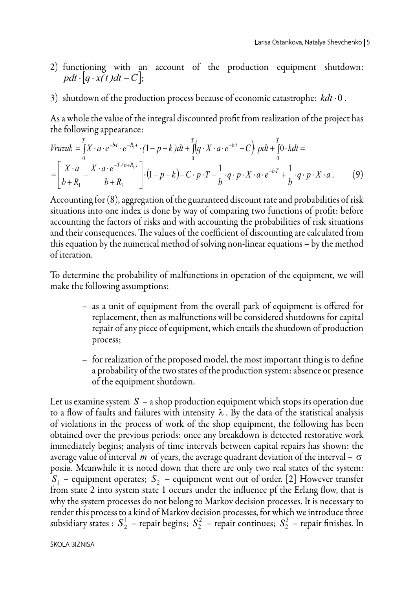- 2) functioning with an account of the production equipment shutdown: *pdt*  $\cdot$  *q*  $\cdot$  *x(t)dt* – *C*];
- 3) shutdown of the production process because of economic catastrophe: *kdt* ⋅0 .

As a whole the value of the integral discounted profit from realization of the project has the following appearance:

$$
Vruzuk = \int_{0}^{T} X \cdot a \cdot e^{-bt} \cdot e^{-R_1t} \cdot (1-p-k)dt + \int_{0}^{T} (q \cdot X \cdot a \cdot e^{-bt} - C) \cdot pdt + \int_{0}^{T} 0 \cdot kdt =
$$
  
= 
$$
\left[ \frac{X \cdot a}{b+R_1} - \frac{X \cdot a \cdot e^{-T(b+R_1)}}{b+R_1} \right] \cdot (1-p-k) - C \cdot p \cdot T - \frac{1}{b} \cdot q \cdot p \cdot X \cdot a \cdot e^{-bT} + \frac{1}{b} \cdot q \cdot p \cdot X \cdot a. \tag{9}
$$

Accounting for (8), aggregation of the guaranteed discount rate and probabilities of risk situations into one index is done by way of comparing two functions of profit: before accounting the factors of risks and with accounting the probabilities of risk situations and their consequences. The values of the coefficient of discounting are calculated from this equation by the numerical method of solving non-linear equations – by the method of iteration.

To determine the probability of malfunctions in operation of the equipment, we will make the following assumptions:

- as a unit of equipment from the overall park of equipment is offered for replacement, then as malfunctions will be considered shutdowns for capital repair of any piece of equipment, which entails the shutdown of production process;
- for realization of the proposed model, the most important thing is to define a probability of the two states of the production system: absence or presence of the equipment shutdown.

Let us examine system *S* – a shop production equipment which stops its operation due to a flow of faults and failures with intensity  $\lambda$ . By the data of the statistical analysis of violations in the process of work of the shop equipment, the following has been obtained over the previous periods: once any breakdown is detected restorative work immediately begins; analysis of time intervals between capital repairs has shown: the average value of interval *m* of years, the average quadrant deviation of the interval –  $\sigma$ років. Meanwhile it is noted down that there are only two real states of the system:  $S_1$  – equipment operates;  $S_2$  – equipment went out of order. [2] However transfer from state 2 into system state 1 occurs under the influence pf the Erlang flow, that is why the system processes do not belong to Markov decision processes. It is necessary to render this process to a kind of Markov decision processes, for which we introduce three subsidiary states :  $S_2^1$  – repair begins;  $S_2^2$  – repair continues;  $S_2^3$  – repair finishes. In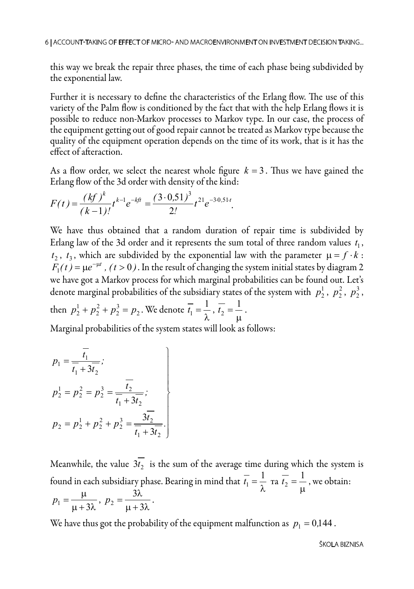this way we break the repair three phases, the time of each phase being subdivided by the exponential law.

Further it is necessary to define the characteristics of the Erlang flow. The use of this variety of the Palm flow is conditioned by the fact that with the help Erlang flows it is possible to reduce non-Markov processes to Markov type. In our case, the process of the equipment getting out of good repair cannot be treated as Markov type because the quality of the equipment operation depends on the time of its work, that is it has the effect of afteraction.

As a flow order, we select the nearest whole figure  $k = 3$ . Thus we have gained the Erlang flow of the 3d order with density of the kind:

$$
F(t) = \frac{(kf)^k}{(k-1)!} t^{k-1} e^{-kft} = \frac{(3 \cdot 0.51)^3}{2!} t^{21} e^{-3 \cdot 0.51 \cdot t}.
$$

We have thus obtained that a random duration of repair time is subdivided by Erlang law of the 3d order and it represents the sum total of three random values  $t_1$ ,  $t_2$ ,  $t_3$ , which are subdivided by the exponential law with the parameter  $\mu = f \cdot k$ :  $F_1(t) = \mu e^{-\mu t}$ ,  $(t > 0)$ . In the result of changing the system initial states by diagram 2 we have got a Markov process for which marginal probabilities can be found out. Let's denote marginal probabilities of the subsidiary states of the system with  $p_2^1$ ,  $p_2^2$ ,  $p_2^3$ , then  $p_2^1 + p_2^2 + p_2^3 = p_2$ . We denote  $\overline{t_1} = \frac{1}{\lambda}, \overline{t_2} = \frac{1}{\mu}$ .

Marginal probabilities of the system states will look as follows:

$$
p_1 = \frac{\overline{t_1}}{\overline{t_1} + 3\overline{t_2}};
$$
  
\n
$$
p_2^1 = p_2^2 = p_2^3 = \frac{\overline{t_2}}{\overline{t_1} + 3\overline{t_2}};
$$
  
\n
$$
p_2 = p_2^1 + p_2^2 + p_2^3 = \frac{3\overline{t_2}}{\overline{t_1} + 3\overline{t_2}}.
$$

Meanwhile, the value  $3t_2$  is the sum of the average time during which the system is found in each subsidiary phase. Bearing in mind that  $\overline{t_1} = \frac{1}{\lambda}$  ra  $\overline{t_2} = \frac{1}{\mu}$ , we obtain:  $p_1 = \frac{\mu}{\mu + 3\lambda}, \ p_2 = \frac{3\lambda}{\mu + 3\lambda}.$ 

We have thus got the probability of the equipment malfunction as  $p_1 = 0.144$ .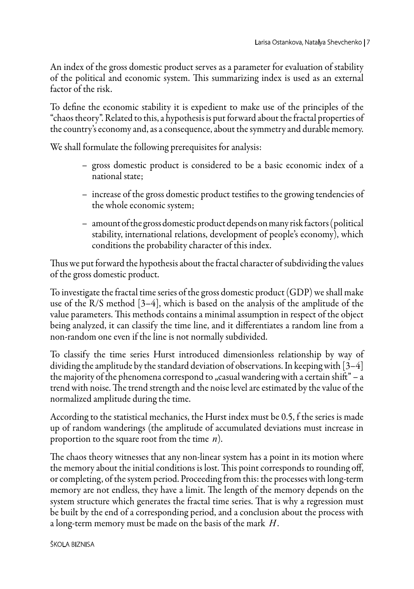An index of the gross domestic product serves as a parameter for evaluation of stability of the political and economic system. This summarizing index is used as an external factor of the risk.

To define the economic stability it is expedient to make use of the principles of the "chaos theory". Related to this, a hypothesis is put forward about the fractal properties of the country's economy and, as a consequence, about the symmetry and durable memory.

We shall formulate the following prerequisites for analysis:

- gross domestic product is considered to be a basic economic index of a national state;
- increase of the gross domestic product testifies to the growing tendencies of the whole economic system;
- amount of the gross domestic product depends on many risk factors (political stability, international relations, development of people's economy), which conditions the probability character of this index.

Thus we put forward the hypothesis about the fractal character of subdividing the values of the gross domestic product.

To investigate the fractal time series of the gross domestic product (GDP) we shall make use of the R/S method [3–4], which is based on the analysis of the amplitude of the value parameters. This methods contains a minimal assumption in respect of the object being analyzed, it can classify the time line, and it differentiates a random line from a non-random one even if the line is not normally subdivided.

To classify the time series Hurst introduced dimensionless relationship by way of dividing the amplitude by the standard deviation of observations. In keeping with [3–4] the majority of the phenomena correspond to  $\alpha$  casual wandering with a certain shift" – a trend with noise. The trend strength and the noise level are estimated by the value of the normalized amplitude during the time.

According to the statistical mechanics, the Hurst index must be 0.5, f the series is made up of random wanderings (the amplitude of accumulated deviations must increase in proportion to the square root from the time *n*).

The chaos theory witnesses that any non-linear system has a point in its motion where the memory about the initial conditions is lost. This point corresponds to rounding off, or completing, of the system period. Proceeding from this: the processes with long-term memory are not endless, they have a limit. The length of the memory depends on the system structure which generates the fractal time series. That is why a regression must be built by the end of a corresponding period, and a conclusion about the process with a long-term memory must be made on the basis of the mark *H*.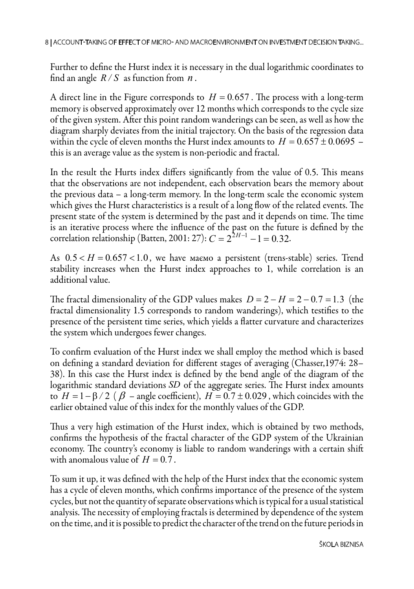Further to define the Hurst index it is necessary in the dual logarithmic coordinates to find an angle  $R/S$  as function from  $n$ .

A direct line in the Figure corresponds to  $H = 0.657$ . The process with a long-term memory is observed approximately over 12 months which corresponds to the cycle size of the given system. After this point random wanderings can be seen, as well as how the diagram sharply deviates from the initial trajectory. On the basis of the regression data within the cycle of eleven months the Hurst index amounts to  $H = 0.657 \pm 0.0695$  – this is an average value as the system is non-periodic and fractal.

In the result the Hurts index differs significantly from the value of 0.5. This means that the observations are not independent, each observation bears the memory about the previous data – a long-term memory. In the long-term scale the economic system which gives the Hurst characteristics is a result of a long flow of the related events. The present state of the system is determined by the past and it depends on time. The time is an iterative process where the influence of the past on the future is defined by the correlation relationship (Batten, 2001: 27):  $C = 2^{2H-1} - 1 = 0.32$ .

As  $0.5 < H = 0.657 < 1.0$ , we have маємо a persistent (trens-stable) series. Trend stability increases when the Hurst index approaches to 1, while correlation is an additional value.

The fractal dimensionality of the GDP values makes  $D = 2 - H = 2 - 0.7 = 1.3$  (the fractal dimensionality 1.5 corresponds to random wanderings), which testifies to the presence of the persistent time series, which yields a flatter curvature and characterizes the system which undergoes fewer changes.

To confirm evaluation of the Hurst index we shall employ the method which is based on defining a standard deviation for different stages of averaging (Chasser,1974: 28– 38). In this case the Hurst index is defined by the bend angle of the diagram of the logarithmic standard deviations *SD* of the aggregate series. The Hurst index amounts to  $H = 1 - \beta / 2$  ( $\beta$  – angle coefficient),  $H = 0.7 \pm 0.029$ , which coincides with the earlier obtained value of this index for the monthly values of the GDP.

Thus a very high estimation of the Hurst index, which is obtained by two methods, confirms the hypothesis of the fractal character of the GDP system of the Ukrainian economy. The country's economy is liable to random wanderings with a certain shift with anomalous value of  $H = 0.7$ .

To sum it up, it was defined with the help of the Hurst index that the economic system has a cycle of eleven months, which confirms importance of the presence of the system cycles, but not the quantity of separate observations which is typical for a usual statistical analysis. The necessity of employing fractals is determined by dependence of the system on the time, and it is possible to predict the character of the trend on the future periods in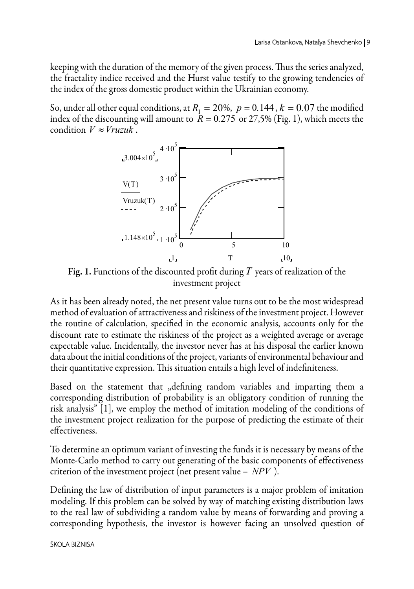keeping with the duration of the memory of the given process. Thus the series analyzed, the fractality indice received and the Hurst value testify to the growing tendencies of the index of the gross domestic product within the Ukrainian economy.

So, under all other equal conditions, at  $R_1 = 20\%$ ,  $p = 0.144$ ,  $k = 0.07$  the modified index of the discounting will amount to  $R = 0.275$  or 27,5% (Fig. 1), which meets the condition  $V \approx Vruzuk$ .



Fig. 1. Functions of the discounted profit during *T* years of realization of the investment project

As it has been already noted, the net present value turns out to be the most widespread method of evaluation of attractiveness and riskiness of the investment project. However the routine of calculation, specified in the economic analysis, accounts only for the discount rate to estimate the riskiness of the project as a weighted average or average expectable value. Incidentally, the investor never has at his disposal the earlier known data about the initial conditions of the project, variants of environmental behaviour and their quantitative expression. This situation entails a high level of indefiniteness.

Based on the statement that "defining random variables and imparting them a corresponding distribution of probability is an obligatory condition of running the risk analysis" [1], we employ the method of imitation modeling of the conditions of the investment project realization for the purpose of predicting the estimate of their effectiveness.

To determine an optimum variant of investing the funds it is necessary by means of the Monte-Carlo method to carry out generating of the basic components of effectiveness criterion of the investment project (net present value – *NPV* ).

Defining the law of distribution of input parameters is a major problem of imitation modeling. If this problem can be solved by way of matching existing distribution laws to the real law of subdividing a random value by means of forwarding and proving a corresponding hypothesis, the investor is however facing an unsolved question of

### Škola biznisa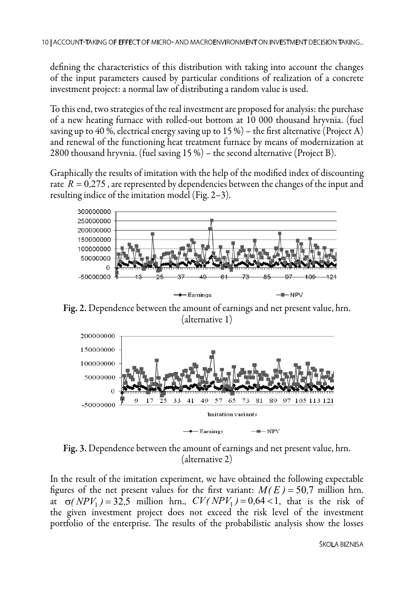defining the characteristics of this distribution with taking into account the changes of the input parameters caused by particular conditions of realization of a concrete investment project: a normal law of distributing a random value is used.

To this end, two strategies of the real investment are proposed for analysis: the purchase of a new heating furnace with rolled-out bottom at 10 000 thousand hryvnia. (fuel saving up to 40 %, electrical energy saving up to 15 %) – the first alternative (Project A) and renewal of the functioning heat treatment furnace by means of modernization at 2800 thousand hryvnia. (fuel saving 15 %) – the second alternative (Project B).

Graphically the results of imitation with the help of the modified index of discounting rate *R* = 0*,*275 , are represented by dependencies between the changes of the input and resulting indice of the imitation model (Fig. 2–3).



Fig. 2. Dependence between the amount of earnings and net present value, hrn. (alternative 1)



Fig. 3. Dependence between the amount of earnings and net present value, hrn. (alternative 2)

In the result of the imitation experiment, we have obtained the following expectable figures of the net present values for the first variant:  $M(E) = 50.7$  million hrn. at  $\sigma(NPV_1) = 32.5$  million hrn.,  $CV(NPV_1) = 0.64 < 1$ , that is the risk of the given investment project does not exceed the risk level of the investment portfolio of the enterprise. The results of the probabilistic analysis show the losses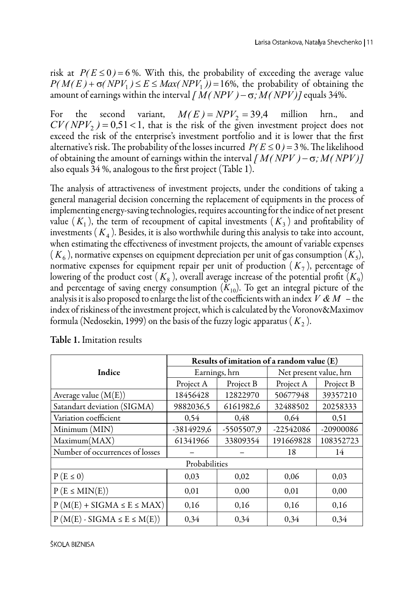risk at  $P(E \le 0) = 6$ %. With this, the probability of exceeding the average value  $P(M(E) + \sigma(NPV_1) \leq E \leq Max(NPV_1)) = 16\%$ , the probability of obtaining the amount of earnings within the interval  $\int M(NPV) - \sigma$ ;  $M(NPV)$  equals 34%.

For the second variant,  $M(E) = NPV_2 = 39.4$  million hrn., and  $CV(NPV<sub>2</sub>) = 0.51 < 1$ , that is the risk of the given investment project does not exceed the risk of the enterprise's investment portfolio and it is lower that the first alternative's risk. The probability of the losses incurred  $P(E \le 0) = 3\%$ . The likelihood of obtaining the amount of earnings within the interval *[ M( NPV )*− σ*;M( NPV)]* also equals 34 %, analogous to the first project (Table 1).

The analysis of attractiveness of investment projects, under the conditions of taking a general managerial decision concerning the replacement of equipments in the process of implementing energy-saving technologies, requires accounting for the indice of net present value  $(K_1)$ , the term of recoupment of capital investments  $(K_3)$  and profitability of investments  $(K<sub>A</sub>)$ . Besides, it is also worthwhile during this analysis to take into account, when estimating the effectiveness of investment projects, the amount of variable expenses  $(K_6)$ , normative expenses on equipment depreciation per unit of gas consumption  $(K_5)$ , normative expenses for equipment repair per unit of production  $(K_7)$ , percentage of lowering of the product cost  $(K_8)$ , overall average increase of the potential profit  $(K_9)$ and percentage of saving energy consumption  $(K_{10})$ . To get an integral picture of the analysis it is also proposed to enlarge the list of the coefficients with an index *V & M* – the index of riskiness of the investment project, which is calculated by the Voronov&Maximov formula (Nedosekin, 1999) on the basis of the fuzzy logic apparatus  $(K<sub>2</sub>)$ .

|                                  | Results of imitation of a random value (E) |            |                        |           |
|----------------------------------|--------------------------------------------|------------|------------------------|-----------|
| Indice                           | Earnings, hrn                              |            | Net present value, hrn |           |
|                                  | Project A                                  | Project B  | Project A              | Project B |
| Average value $(M(E))$           | 18456428                                   | 12822970   | 50677948               | 39357210  |
| Satandart deviation (SIGMA)      | 9882036,5                                  | 6161982,6  | 32488502               | 20258333  |
| Variation coefficient            | 0,54                                       | 0,48       | 0,64                   | 0.51      |
| Minimum (MIN)                    | $-3814929,6$                               | -5505507,9 | -22542086              | -20900086 |
| Maximum(MAX)                     | 61341966                                   | 33809354   | 191669828              | 108352723 |
| Number of occurrences of losses  |                                            |            | 18                     | 14        |
| Probabilities                    |                                            |            |                        |           |
| $P(E \le 0)$                     | 0,03                                       | 0,02       | 0,06                   | 0,03      |
| $P(E \le MIN(E))$                | 0,01                                       | 0,00       | 0,01                   | 0,00      |
| $P(M(E) + SIGMA \le E \le MAX)$  | 0,16                                       | 0,16       | 0,16                   | 0,16      |
| $P(M(E) - SIGMA \le E \le M(E))$ | 0,34                                       | 0,34       | 0,34                   | 0,34      |

Table 1. Imitation results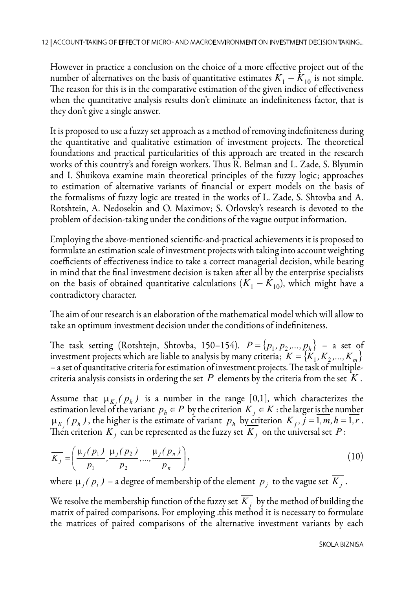However in practice a conclusion on the choice of a more effective project out of the number of alternatives on the basis of quantitative estimates  $K_1 - K_{10}$  is not simple. The reason for this is in the comparative estimation of the given indice of effectiveness when the quantitative analysis results don't eliminate an indefiniteness factor, that is they don't give a single answer.

It is proposed to use a fuzzy set approach as a method of removing indefiniteness during the quantitative and qualitative estimation of investment projects. The theoretical foundations and practical particularities of this approach are treated in the research works of this country's and foreign workers. Thus R. Belman and L. Zade, S. Blyumin and І. Shuikova examine main theoretical principles of the fuzzy logic; approaches to estimation of alternative variants of financial or expert models on the basis of the formalisms of fuzzy logic are treated in the works of L. Zade, S. Shtovba and А. Rotshtein, А. Nedosekin and О. Maximov; S. Orlovsky's research is devoted to the problem of decision-taking under the conditions of the vague output information.

Employing the above-mentioned scientific-and-practical achievements it is proposed to formulate an estimation scale of investment projects with taking into account weighting coefficients of effectiveness indice to take a correct managerial decision, while bearing in mind that the final investment decision is taken after all by the enterprise specialists on the basis of obtained quantitative calculations  $(K_1 - K_{10})$ , which might have a contradictory character.

The aim of our research is an elaboration of the mathematical model which will allow to take an optimum investment decision under the conditions of indefiniteness.

The task setting (Rotshtejn, Shtovba, 150–154).  $P = \{p_1, p_2, ..., p_h\}$  – a set of investment projects which are liable to analysis by many criteria;  $K = \{K_1, K_2, ..., K_m\}$ – a set of quantitative criteria for estimation of investment projects. The task of multiplecriteria analysis consists in ordering the set *P* elements by the criteria from the set *K* .

Assume that  $\mu_{K}$  ( $p_h$ ) is a number in the range [0,1], which characterizes the estimation level of the variant  $p_h \in P$  by the criterion  $K_i \in K$  : the larger is the number  $\mu_{K}$  ( $p_h$ ), the higher is the estimate of variant  $p_h$  by criterion  $K_i$ ,  $j = 1, m, h = 1, r$ . Then criterion  $K_i$  can be represented as the fuzzy set  $K_i$  on the universal set  $P$ :

$$
\overline{K_j} = \left(\frac{\mu_j(p_1)}{p_1}, \frac{\mu_j(p_2)}{p_2}, ..., \frac{\mu_j(p_n)}{p_n}\right),
$$
\n(10)

where  $\mu_i(p_i)$  – a degree of membership of the element  $p_i$  to the vague set  $K_i$ .

We resolve the membership function of the fuzzy set  $K_i$ , by the method of building the matrix of paired comparisons. For employing .this method it is necessary to formulate the matrices of paired comparisons of the alternative investment variants by each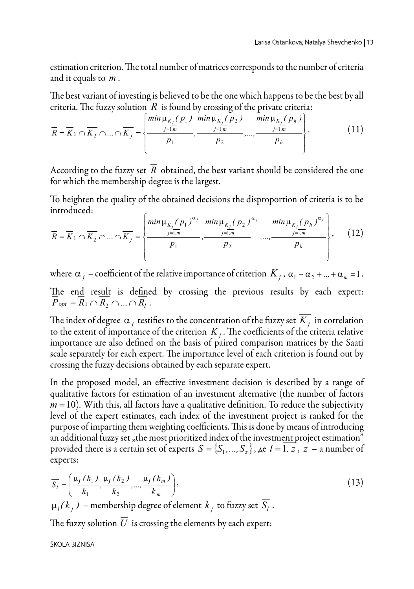estimation criterion. The total number of matrices corresponds to the number of criteria and it equals to *m* .

The best variant of investing is believed to be the one which happens to be the best by all criteria. The fuzzy solution  $\overline{R}$  is found by crossing of the private criteria:

$$
\overline{R} = \overline{K}_1 \cap \overline{K}_2 \cap ... \cap \overline{K}_j = \left\{ \frac{\min \mu_{K_j}(p_1) \ \min \mu_{K_j}(p_2) \ \min \mu_{K_j}(p_h)}{p_1}, \frac{\min \mu_{K_j}(p_3) \ \min \mu_{K_j}(p_h)}{p_2}, ..., \frac{\min \mu_{K_j}(p_h)}{p_h} \right\}.
$$
(11)

According to the fuzzy set  $\overline{R}$  obtained, the best variant should be considered the one for which the membership degree is the largest.

To heighten the quality of the obtained decisions the disproportion of criteria is to be introduced:

$$
\overline{R} = \overline{K}_1 \cap \overline{K}_2 \cap ... \cap \overline{K}_j = \left\{ \frac{\min \mu_{K_j}(p_1)^{\alpha_j} \min \mu_{K_j}(p_2)^{\alpha_j} \min_{j=1,m} \mu_{K_j}(p_h)^{\alpha_j}}{p_1}, \dots, \frac{\min_{j=1,m} \mu_{K_j}(p_h)^{\alpha_j}}{p_h} \right\}, \quad (12)
$$

where  $\alpha_j$  – coefficient of the relative importance of criterion  $K_j$ ,  $\alpha_1 + \alpha_2 + ... + \alpha_m = 1$ . The end result is defined by crossing the previous results by each expert:  $\overline{P}_{opt} = \overline{R}_1 \cap \overline{R}_2 \cap ... \cap \overline{R}_l$ .

The index of degree  $\alpha_i$  testifies to the concentration of the fuzzy set  $\overline{K_i}$  in correlation to the extent of importance of the criterion  $K_i$ . The coefficients of the criteria relative importance are also defined on the basis of paired comparison matrices by the Saati scale separately for each expert. The importance level of each criterion is found out by crossing the fuzzy decisions obtained by each separate expert.

In the proposed model, an effective investment decision is described by a range of qualitative factors for estimation of an investment alternative (the number of factors  $m = 10$ ). With this, all factors have a qualitative definition. To reduce the subjectivity level of the expert estimates, each index of the investment project is ranked for the purpose of imparting them weighting coefficients. This is done by means of introducing an additional fuzzy set "the most prioritized index of the investment project estimation" provided there is a certain set of experts  $S = \{S_1, ..., S_z\}$ ,  $\lambda \in \mathcal{I} = \overline{1, z}$ ,  $z = 1$  a number of experts:

$$
\overline{S}_{l} = \left(\frac{\mu_{l}(k_{1})}{k_{1}}, \frac{\mu_{l}(k_{2})}{k_{2}}, ..., \frac{\mu_{l}(k_{m})}{k_{m}}\right),
$$
\n(13)

 $\mu_l(k_i)$  – membership degree of element  $k_i$  to fuzzy set  $S_l$ .

The fuzzy solution  $\overline{U}$  is crossing the elements by each expert:

#### Škola biznisa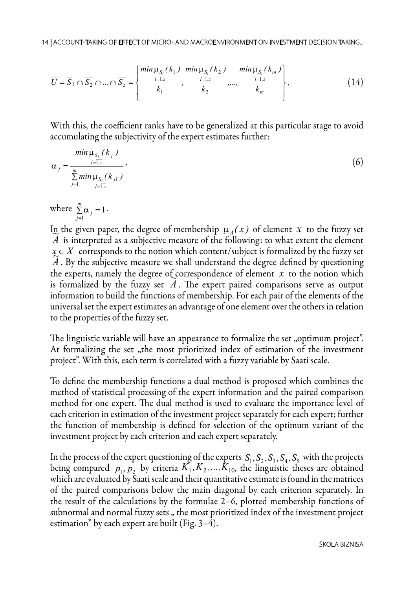$$
\overline{U} = \overline{S}_1 \cap \overline{S}_2 \cap ... \cap \overline{S}_z = \left\{ \frac{\min \mu_{S_1}(k_1) \min \mu_{S_1}(k_2) \min_{l=1,z} \min_{l=1,z} (k_m)}{k_1}, \frac{\min \mu_{S_1}(k_m)}{k_2}, ..., \frac{\min \mu_{S_r}(k_m)}{k_m} \right\}.
$$
(14)

With this, the coefficient ranks have to be generalized at this particular stage to avoid accumulating the subjectivity of the expert estimates further:

$$
\alpha_{j} = \frac{\min_{l=1,z} (k_{j})}{\sum_{j=1}^{m} \min_{l=1,z} \mu_{S_{j}}(k_{j1})},
$$
\n(6)

where  $\sum_{j=1}^{m} \alpha_j = 1$ *m*  $\sum_{j=1}^m \alpha_{j} = 1$ .

In the given paper, the degree of membership  $\mu_A(x)$  of element x to the fuzzy set  $\pi$  is interpreted as a subjective measure of the following: to what extent the element  $\tilde{A}$  is interpreted as a subjective measure of the following: to what extent the element  $x \in X$  corresponds to the notion which content/subject is formalized by the fuzzy set  $\chi \in A$  corresponds to the notion which content/subject is formalized by the fuzzy set  $\tilde{A}$ . By the subjective measure we shall understand the degree defined by questioning the experts, namely the degree of correspondence of element *x* to the notion which the experts, hallely the degree of correspondence of element  $\lambda$  to the hotion which<br>is formalized by the fuzzy set  $\Lambda$ . The expert paired comparisons serve as output information to build the functions of membership. For each pair of the elements of the universal set the expert estimates an advantage of one element over the others in relation to the properties of the fuzzy set.

The linguistic variable will have an appearance to formalize the set "optimum project". At formalizing the set "the most prioritized index of estimation of the investment project". With this, each term is correlated with a fuzzy variable by Saati scale.

To define the membership functions a dual method is proposed which combines the method of statistical processing of the expert information and the paired comparison method for one expert. The dual method is used to evaluate the importance level of each criterion in estimation of the investment project separately for each expert; further the function of membership is defined for selection of the optimum variant of the investment project by each criterion and each expert separately.

In the process of the expert questioning of the experts  $S_1, S_2, S_3, S_4, S_5$  with the projects being compared  $p_1, p_2$  by criteria  $K_1, K_2, \ldots, K_{10}$ , the linguistic theses are obtained which are evaluated by Saati scale and their quantitative estimate is found in the matrices of the paired comparisons below the main diagonal by each criterion separately. In the result of the calculations by the formulae 2–6, plotted membership functions of subnormal and normal fuzzy sets , the most prioritized index of the investment project estimation" by each expert are built (Fig. 3–4).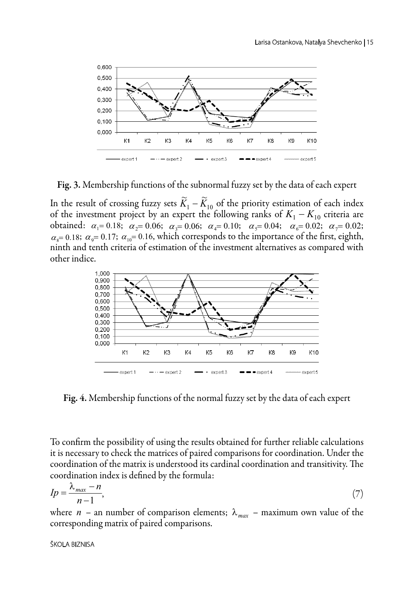

Fig. 3. Membership functions of the subnormal fuzzy set by the data of each expert

In the result of crossing fuzzy sets  $\widetilde{K}_1 - \widetilde{K}_{10}$  of the priority estimation of each index of the investment project by an expert the following ranks of  $K_1 - K_{10}$  criteria are obtained:  $\alpha_1 = 0.18$ ;  $\alpha_2 = 0.06$ ;  $\alpha_3 = 0.06$ ;  $\alpha_4 = 0.10$ ;  $\alpha_5 = 0.04$ ;  $\alpha_6 = 0.02$ ;  $\alpha_7 = 0.02$ ;  $\alpha_s$  = 0.18;  $\alpha_9$  = 0.17;  $\alpha_{10}$  = 0.16, which corresponds to the importance of the first, eighth, ninth and tenth criteria of estimation of the investment alternatives as compared with other indice.



Fig. 4. Membership functions of the normal fuzzy set by the data of each expert

To confirm the possibility of using the results obtained for further reliable calculations it is necessary to check the matrices of paired comparisons for coordination. Under the coordination of the matrix is understood its cardinal coordination and transitivity. The coordination index is defined by the formula:

$$
Ip = \frac{\lambda_{max} - n}{n - 1},\tag{7}
$$

where *n* – an number of comparison elements;  $\lambda_{max}$  – maximum own value of the corresponding matrix of paired comparisons.

#### ŠKOLA BIzNISA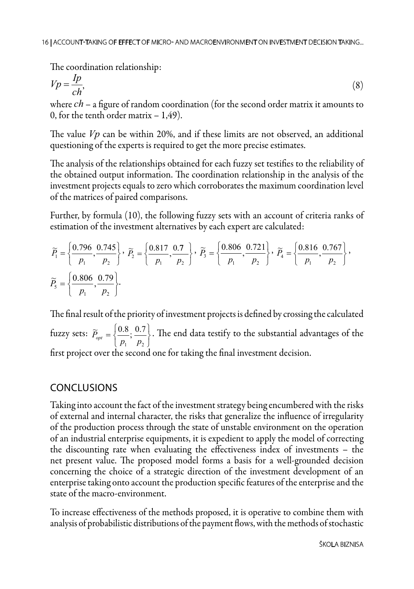The coordination relationship:

$$
Vp = \frac{Ip}{ch},\tag{8}
$$

where *ch* – a figure of random coordination (for the second order matrix it amounts to 0, for the tenth order matrix  $-1,49$ ).

The value *Vp* can be within 20%, and if these limits are not observed, an additional questioning of the experts is required to get the more precise estimates.

The analysis of the relationships obtained for each fuzzy set testifies to the reliability of the obtained output information. The coordination relationship in the analysis of the investment projects equals to zero which corroborates the maximum coordination level of the matrices of paired comparisons.

Further, by formula (10), the following fuzzy sets with an account of criteria ranks of estimation of the investment alternatives by each expert are calculated:

$$
\widetilde{P}_1 = \left\{ \frac{0.796}{p_1}, \frac{0.745}{p_2} \right\}, \quad \widetilde{P}_2 = \left\{ \frac{0.817}{p_1}, \frac{0.7}{p_2} \right\}, \quad \widetilde{P}_3 = \left\{ \frac{0.806}{p_1}, \frac{0.721}{p_2} \right\}, \quad \widetilde{P}_4 = \left\{ \frac{0.816}{p_1}, \frac{0.767}{p_2} \right\},
$$
\n
$$
\widetilde{P}_5 = \left\{ \frac{0.806}{p_1}, \frac{0.79}{p_2} \right\}.
$$

The final result of the priority of investment projects is defined by crossing the calculated fuzzy sets: J  $\left\{ \right.$  $\mathbf{I}$  $\overline{\mathfrak{l}}$  $=\Big\{$  $1 \quad P_2$  $\widetilde{P}_{opt} = \left\{\frac{0.8}{p_1}, \frac{0.7}{p_2}\right\}$ . The end data testify to the substantial advantages of the first project over the second one for taking the final investment decision.

## CONCLUSIONS

Taking into account the fact of the investment strategy being encumbered with the risks of external and internal character, the risks that generalize the influence of irregularity of the production process through the state of unstable environment on the operation of an industrial enterprise equipments, it is expedient to apply the model of correcting the discounting rate when evaluating the effectiveness index of investments – the net present value. The proposed model forms a basis for a well-grounded decision concerning the choice of a strategic direction of the investment development of an enterprise taking onto account the production specific features of the enterprise and the state of the macro-environment.

To increase effectiveness of the methods proposed, it is operative to combine them with analysis of probabilistic distributions of the payment flows, with the methods of stochastic